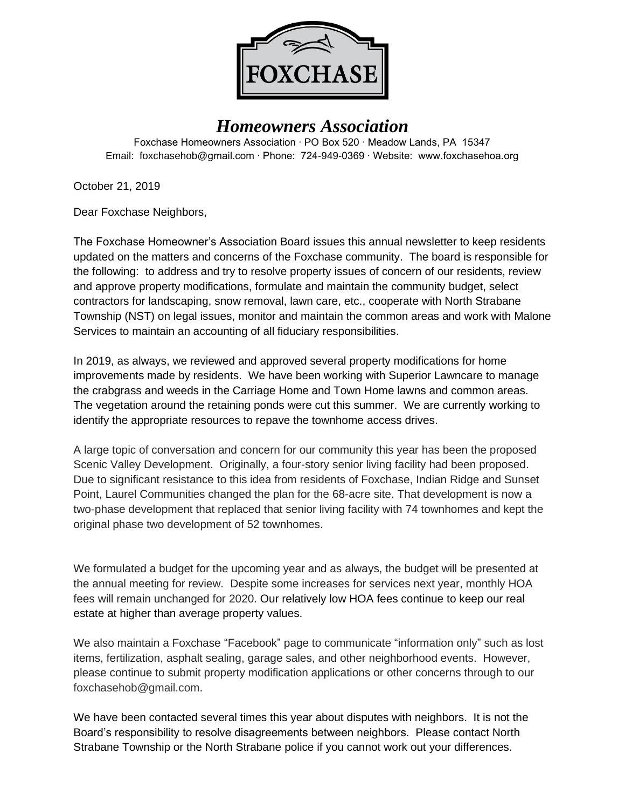

# *Homeowners Association*

Foxchase Homeowners Association ∙ PO Box 520 ∙ Meadow Lands, PA 15347 Email: foxchasehob@gmail.com ∙ Phone: 724-949-0369 ∙ Website: www.foxchasehoa.org

October 21, 2019

Dear Foxchase Neighbors,

The Foxchase Homeowner's Association Board issues this annual newsletter to keep residents updated on the matters and concerns of the Foxchase community. The board is responsible for the following: to address and try to resolve property issues of concern of our residents, review and approve property modifications, formulate and maintain the community budget, select contractors for landscaping, snow removal, lawn care, etc., cooperate with North Strabane Township (NST) on legal issues, monitor and maintain the common areas and work with Malone Services to maintain an accounting of all fiduciary responsibilities.

In 2019, as always, we reviewed and approved several property modifications for home improvements made by residents. We have been working with Superior Lawncare to manage the crabgrass and weeds in the Carriage Home and Town Home lawns and common areas. The vegetation around the retaining ponds were cut this summer. We are currently working to identify the appropriate resources to repave the townhome access drives.

A large topic of conversation and concern for our community this year has been the proposed Scenic Valley Development. Originally, a four-story senior living facility had been proposed. Due to significant resistance to this idea from residents of Foxchase, Indian Ridge and Sunset Point, Laurel Communities changed the plan for the 68-acre site. That development is now a two-phase development that replaced that senior living facility with 74 townhomes and kept the original phase two development of 52 townhomes.

We formulated a budget for the upcoming year and as always, the budget will be presented at the annual meeting for review. Despite some increases for services next year, monthly HOA fees will remain unchanged for 2020. Our relatively low HOA fees continue to keep our real estate at higher than average property values.

We also maintain a Foxchase "Facebook" page to communicate "information only" such as lost items, fertilization, asphalt sealing, garage sales, and other neighborhood events. However, please continue to submit property modification applications or other concerns through to our [foxchasehob@gmail.com.](mailto:foxchasehob@gmail.com)

We have been contacted several times this year about disputes with neighbors. It is not the Board's responsibility to resolve disagreements between neighbors. Please contact North Strabane Township or the North Strabane police if you cannot work out your differences.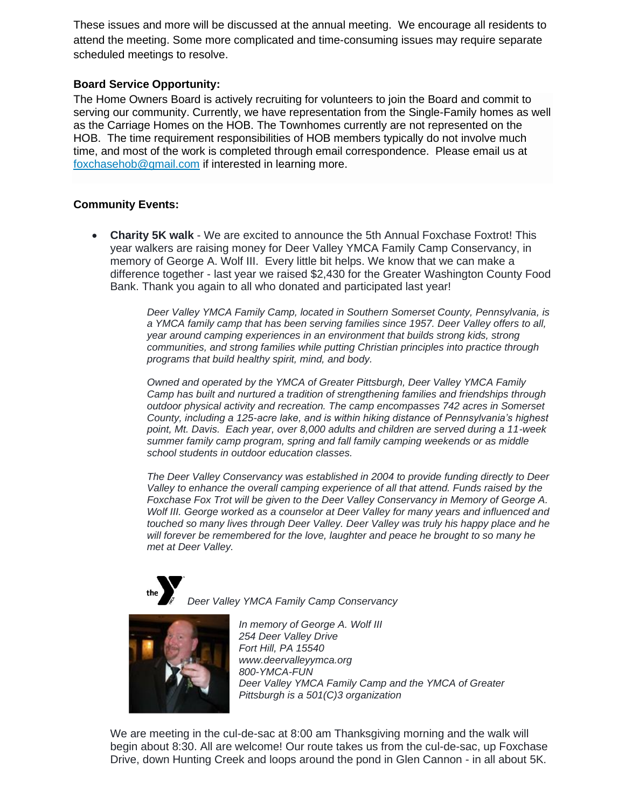These issues and more will be discussed at the annual meeting. We encourage all residents to attend the meeting. Some more complicated and time-consuming issues may require separate scheduled meetings to resolve.

### **Board Service Opportunity:**

The Home Owners Board is actively recruiting for volunteers to join the Board and commit to serving our community. Currently, we have representation from the Single-Family homes as well as the Carriage Homes on the HOB. The Townhomes currently are not represented on the HOB. The time requirement responsibilities of HOB members typically do not involve much time, and most of the work is completed through email correspondence. Please email us at [foxchasehob@gmail.com](mailto:foxchasehob@gmail.com) if interested in learning more.

## **Community Events:**

• **Charity 5K walk** - We are excited to announce the 5th Annual Foxchase Foxtrot! This year walkers are raising money for Deer Valley YMCA Family Camp Conservancy, in memory of George A. Wolf III. Every little bit helps. We know that we can make a difference together - last year we raised \$2,430 for the Greater Washington County Food Bank. Thank you again to all who donated and participated last year!

> *Deer Valley YMCA Family Camp, located in Southern Somerset County, Pennsylvania, is a YMCA family camp that has been serving families since 1957. Deer Valley offers to all, year around camping experiences in an environment that builds strong kids, strong communities, and strong families while putting Christian principles into practice through programs that build healthy spirit, mind, and body.*

> *Owned and operated by the YMCA of Greater Pittsburgh, Deer Valley YMCA Family Camp has built and nurtured a tradition of strengthening families and friendships through outdoor physical activity and recreation. The camp encompasses 742 acres in Somerset County, including a 125-acre lake, and is within hiking distance of Pennsylvania's highest point, Mt. Davis. Each year, over 8,000 adults and children are served during a 11-week summer family camp program, spring and fall family camping weekends or as middle school students in outdoor education classes.*

> *The Deer Valley Conservancy was established in 2004 to provide funding directly to Deer Valley to enhance the overall camping experience of all that attend. Funds raised by the Foxchase Fox Trot will be given to the Deer Valley Conservancy in Memory of George A. Wolf III. George worked as a counselor at Deer Valley for many years and influenced and touched so many lives through Deer Valley. Deer Valley was truly his happy place and he will forever be remembered for the love, laughter and peace he brought to so many he met at Deer Valley.*



*Deer Valley YMCA Family Camp Conservancy*



*In memory of George A. Wolf III 254 Deer Valley Drive Fort Hill, PA 15540 www.deervalleyymca.org 800-YMCA-FUN Deer Valley YMCA Family Camp and the YMCA of Greater Pittsburgh is a 501(C)3 organization*

We are meeting in the cul-de-sac at 8:00 am Thanksgiving morning and the walk will begin about 8:30. All are welcome! Our route takes us from the cul-de-sac, up Foxchase Drive, down Hunting Creek and loops around the pond in Glen Cannon - in all about 5K.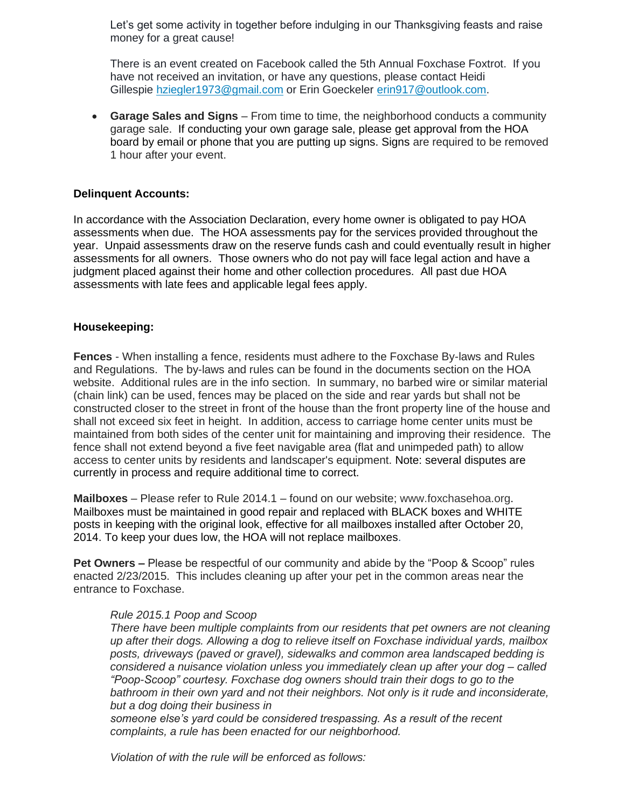Let's get some activity in together before indulging in our Thanksgiving feasts and raise money for a great cause!

There is an event created on Facebook called the 5th Annual Foxchase Foxtrot. If you have not received an invitation, or have any questions, please contact Heidi Gillespie [hziegler1973@gmail.com](mailto:hziegler1973@gmail.com) or Erin Goeckeler [erin917@outlook.com.](mailto:erin917@outlook.com)

• **Garage Sales and Signs** – From time to time, the neighborhood conducts a community garage sale. If conducting your own garage sale, please get approval from the HOA board by email or phone that you are putting up signs. Signs are required to be removed 1 hour after your event.

#### **Delinquent Accounts:**

In accordance with the Association Declaration, every home owner is obligated to pay HOA assessments when due. The HOA assessments pay for the services provided throughout the year. Unpaid assessments draw on the reserve funds cash and could eventually result in higher assessments for all owners. Those owners who do not pay will face legal action and have a judgment placed against their home and other collection procedures. All past due HOA assessments with late fees and applicable legal fees apply.

#### **Housekeeping:**

**Fences** - When installing a fence, residents must adhere to the Foxchase By-laws and Rules and Regulations. The by-laws and rules can be found in the documents section on the HOA website. Additional rules are in the info section. In summary, no barbed wire or similar material (chain link) can be used, fences may be placed on the side and rear yards but shall not be constructed closer to the street in front of the house than the front property line of the house and shall not exceed six feet in height. In addition, access to carriage home center units must be maintained from both sides of the center unit for maintaining and improving their residence. The fence shall not extend beyond a five feet navigable area (flat and unimpeded path) to allow access to center units by residents and landscaper's equipment. Note: several disputes are currently in process and require additional time to correct.

**Mailboxes** – Please refer to Rule 2014.1 – found on our website; [www.foxchasehoa.org.](http://www.foxchasehoa.org/) Mailboxes must be maintained in good repair and replaced with BLACK boxes and WHITE posts in keeping with the original look, effective for all mailboxes installed after October 20, 2014. To keep your dues low, the HOA will not replace mailboxes.

**Pet Owners –** Please be respectful of our community and abide by the "Poop & Scoop" rules enacted 2/23/2015. This includes cleaning up after your pet in the common areas near the entrance to Foxchase.

#### *Rule 2015.1 Poop and Scoop*

*There have been multiple complaints from our residents that pet owners are not cleaning up after their dogs. Allowing a dog to relieve itself on Foxchase individual yards, mailbox posts, driveways (paved or gravel), sidewalks and common area landscaped bedding is considered a nuisance violation unless you immediately clean up after your dog – called "Poop-Scoop" courtesy. Foxchase dog owners should train their dogs to go to the bathroom in their own yard and not their neighbors. Not only is it rude and inconsiderate, but a dog doing their business in*

*someone else's yard could be considered trespassing. As a result of the recent complaints, a rule has been enacted for our neighborhood.*

*Violation of with the rule will be enforced as follows:*